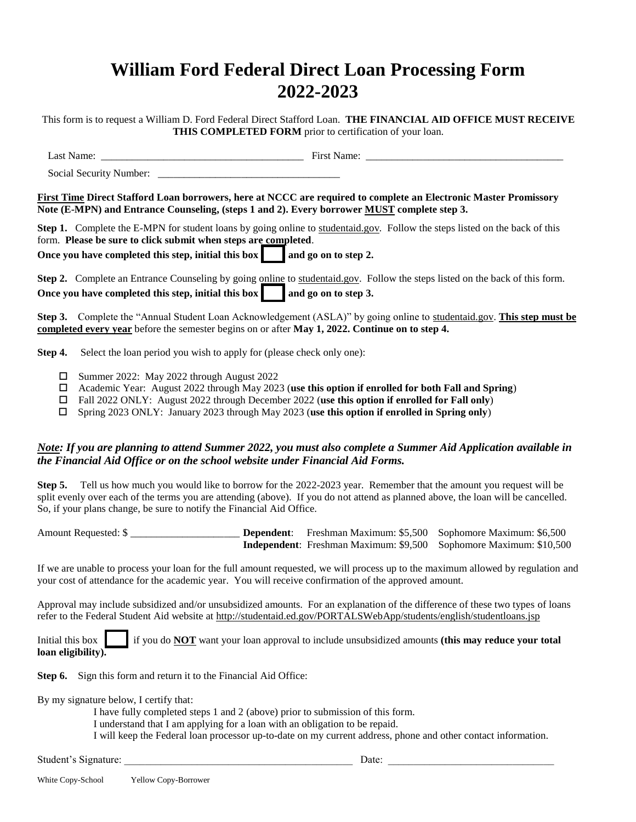# **William Ford Federal Direct Loan Processing Form 2022-2023**

This form is to request a William D. Ford Federal Direct Stafford Loan. **THE FINANCIAL AID OFFICE MUST RECEIVE THIS COMPLETED FORM** prior to certification of your loan.

Last Name: The contract Name: The contract Name: The contract Name:  $\frac{1}{2}$  First Name:

Social Security Number:

**First Time Direct Stafford Loan borrowers, here at NCCC are required to complete an Electronic Master Promissory Note (E-MPN) and Entrance Counseling, (steps 1 and 2). Every borrower MUST complete step 3.**

**Step 1.** Complete the E-MPN for student loans by going online to studentaid.gov*.* Follow the steps listed on the back of this form. **Please be sure to click submit when steps are completed**.

**Once you have completed this step, initial this box and go on to step 2.** 

**Step 2.** Complete an Entrance Counseling by going online to studentaid.gov. Follow the steps listed on the back of this form. Once you have completed this step, initial this box and go on to step 3.

**Step 3.** Complete the "Annual Student Loan Acknowledgement (ASLA)" by going online to studentaid.gov. **This step must be completed every year** before the semester begins on or after **May 1, 2022. Continue on to step 4.**

**Step 4.** Select the loan period you wish to apply for (please check only one):

- Summer 2022: May 2022 through August 2022
- Academic Year: August 2022 through May 2023 (**use this option if enrolled for both Fall and Spring**)
- Fall 2022 ONLY: August 2022 through December 2022 (**use this option if enrolled for Fall only**)
- Spring 2023 ONLY: January 2023 through May 2023 (**use this option if enrolled in Spring only**)

#### *Note: If you are planning to attend Summer 2022, you must also complete a Summer Aid Application available in the Financial Aid Office or on the school website under Financial Aid Forms.*

**Step 5.** Tell us how much you would like to borrow for the 2022-2023 year. Remember that the amount you request will be split evenly over each of the terms you are attending (above). If you do not attend as planned above, the loan will be cancelled. So, if your plans change, be sure to notify the Financial Aid Office.

Amount Requested: \$ \_\_\_\_\_\_\_\_\_\_\_\_\_\_\_\_\_\_\_\_\_ **Dependent**: Freshman Maximum: \$5,500 Sophomore Maximum: \$6,500 **Independent**: Freshman Maximum: \$9,500 Sophomore Maximum: \$10,500

If we are unable to process your loan for the full amount requested, we will process up to the maximum allowed by regulation and your cost of attendance for the academic year. You will receive confirmation of the approved amount.

Approval may include subsidized and/or unsubsidized amounts. For an explanation of the difference of these two types of loans refer to the Federal Student Aid website at http://studentaid.ed.gov/PORTALSWebApp/students/english/studentloans.jsp

Initial this box  $\parallel$  if you do **NOT** want your loan approval to include unsubsidized amounts (this may reduce your total **loan eligibility).**

**Step 6.** Sign this form and return it to the Financial Aid Office:

By my signature below, I certify that:

I have fully completed steps 1 and 2 (above) prior to submission of this form.

I understand that I am applying for a loan with an obligation to be repaid.

I will keep the Federal loan processor up-to-date on my current address, phone and other contact information.

Student's Signature: <br>  $\Box$  Date:  $\Box$